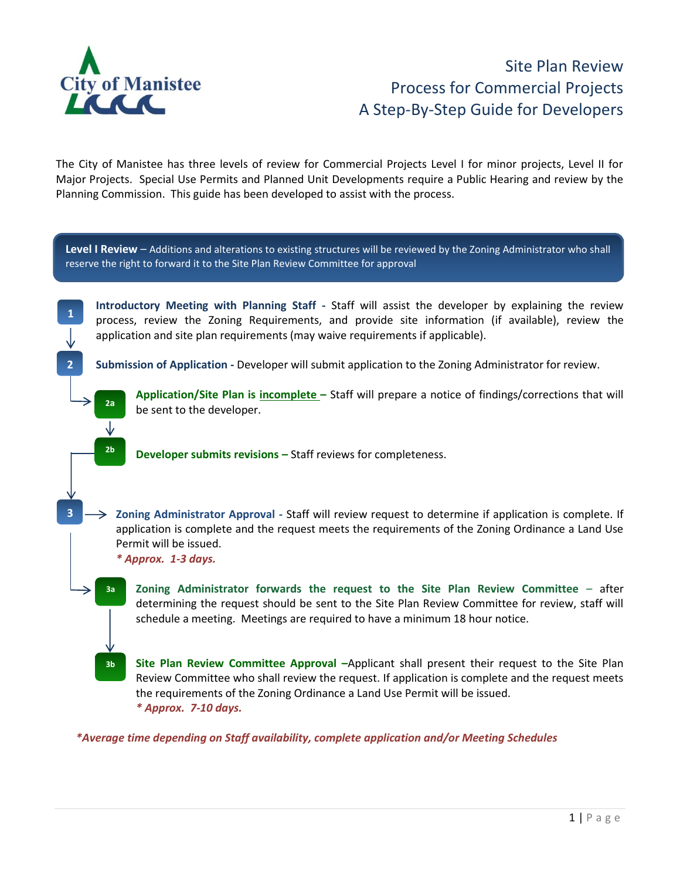

## Site Plan Review Process for Commercial Projects A Step-By-Step Guide for Developers

The City of Manistee has three levels of review for Commercial Projects Level I for minor projects, Level II for Major Projects. Special Use Permits and Planned Unit Developments require a Public Hearing and review by the Planning Commission. This guide has been developed to assist with the process.

**Introductory Meeting with Planning Staff -** Staff will assist the developer by explaining the review process, review the Zoning Requirements, and provide site information (if available), review the application and site plan requirements (may waive requirements if applicable). **Submission of Application -** Developer will submit application to the Zoning Administrator for review. **Application/Site Plan is incomplete –** Staff will prepare a notice of findings/corrections that will be sent to the developer. **Developer submits revisions –** Staff reviews for completeness. **Zoning Administrator Approval -** Staff will review request to determine if application is complete. If application is complete and the request meets the requirements of the Zoning Ordinance a Land Use Permit will be issued. *\* Approx. 1-3 days.* **Zoning Administrator forwards the request to the Site Plan Review Committee** – after determining the request should be sent to the Site Plan Review Committee for review, staff will schedule a meeting. Meetings are required to have a minimum 18 hour notice. **Site Plan Review Committee Approval –**Applicant shall present their request to the Site Plan Review Committee who shall review the request. If application is complete and the request meets the requirements of the Zoning Ordinance a Land Use Permit will be issued. *\* Approx. 7-10 days. \*Average time depending on Staff availability, complete application and/or Meeting Schedules*  **Level I Review** – Additions and alterations to existing structures will be reviewed by the Zoning Administrator who shall reserve the right to forward it to the Site Plan Review Committee for approval **1 2 2b** a. **3b** a. **2a** a. ⊻ **3 3a a**.  $\mathbf{I}$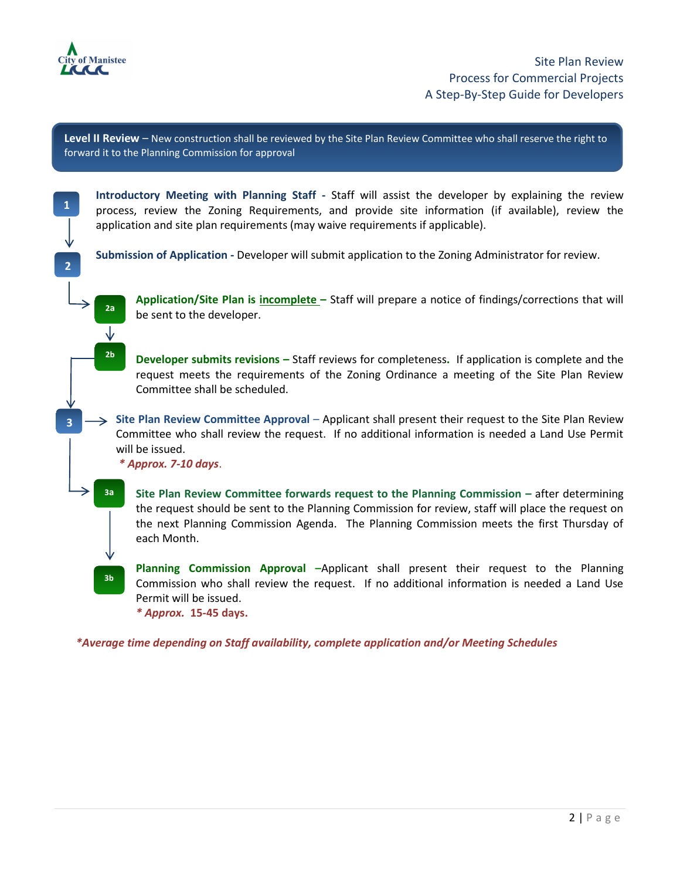

**1**

**2**

**3**

**Level II Review** – New construction shall be reviewed by the Site Plan Review Committee who shall reserve the right to forward it to the Planning Commission for approval

**Introductory Meeting with Planning Staff -** Staff will assist the developer by explaining the review process, review the Zoning Requirements, and provide site information (if available), review the application and site plan requirements (may waive requirements if applicable).

**Submission of Application -** Developer will submit application to the Zoning Administrator for review.

**Application/Site Plan is incomplete –** Staff will prepare a notice of findings/corrections that will be sent to the developer.

**Developer submits revisions –** Staff reviews for completeness**.** If application is complete and the request meets the requirements of the Zoning Ordinance a meeting of the Site Plan Review Committee shall be scheduled.

**Site Plan Review Committee Approval** – Applicant shall present their request to the Site Plan Review Committee who shall review the request. If no additional information is needed a Land Use Permit will be issued.

*\* Approx. 7-10 days*.

**3a** a. a

**2a** a. ⊻ **2b** a.

**3b** a.

**Site Plan Review Committee forwards request to the Planning Commission –** after determining the request should be sent to the Planning Commission for review, staff will place the request on the next Planning Commission Agenda. The Planning Commission meets the first Thursday of each Month.

**Planning Commission Approval –**Applicant shall present their request to the Planning Commission who shall review the request. If no additional information is needed a Land Use Permit will be issued.

*\* Approx.* **15-45 days.** 

*\*Average time depending on Staff availability, complete application and/or Meeting Schedules*